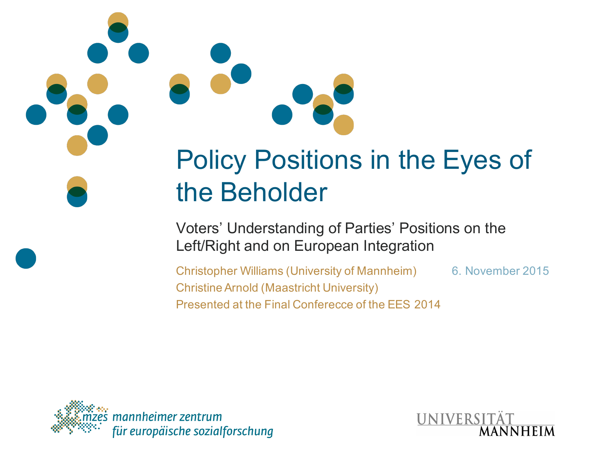## Policy Positions in the Eyes of the Beholder

Voters' Understanding of Parties' Positions on the Left/Right and on European Integration

Christopher Williams (University of Mannheim) 6. November 2015 Christine Arnold (Maastricht University) Presented at the Final Conferecce of the EES 2014



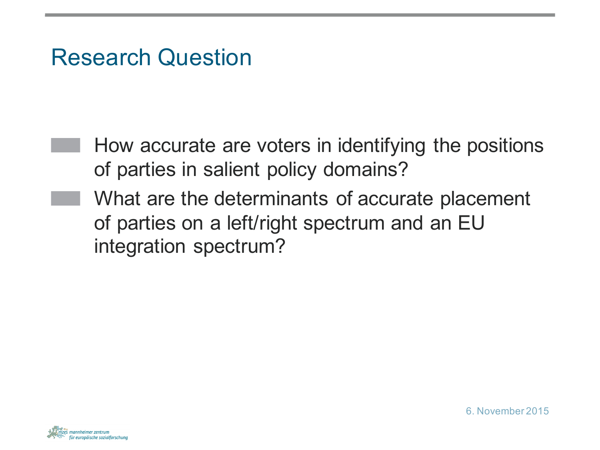## Research Question

- How accurate are voters in identifying the positions of parties in salient policy domains?
- What are the determinants of accurate placement of parties on a left/right spectrum and an EU integration spectrum?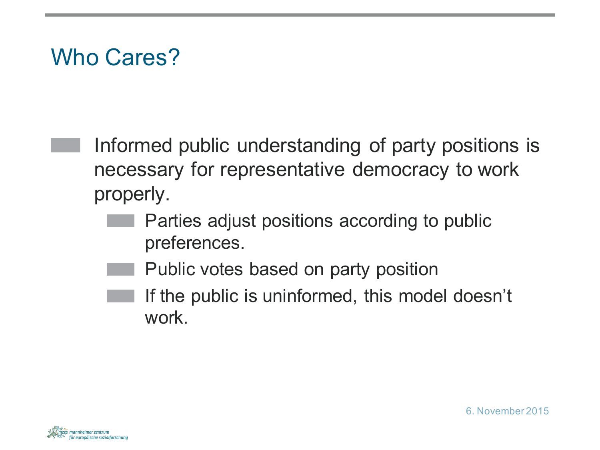## Who Cares?

Informed public understanding of party positions is necessary for representative democracy to work properly.

- Parties adjust positions according to public preferences.
- Public votes based on party position
- If the public is uninformed, this model doesn't work.

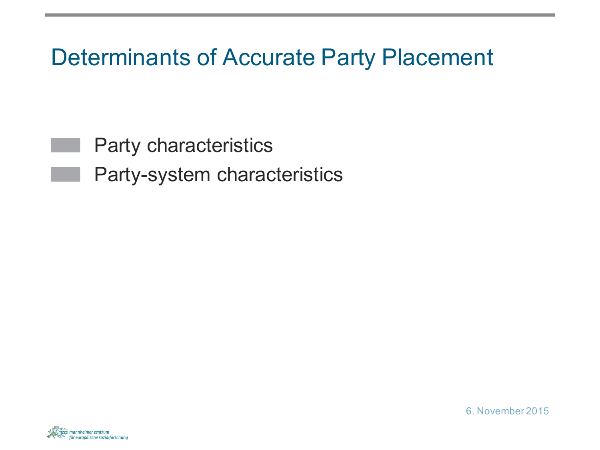Determinants of Accurate Party Placement

Party characteristics

Party-system characteristics



6. November 2015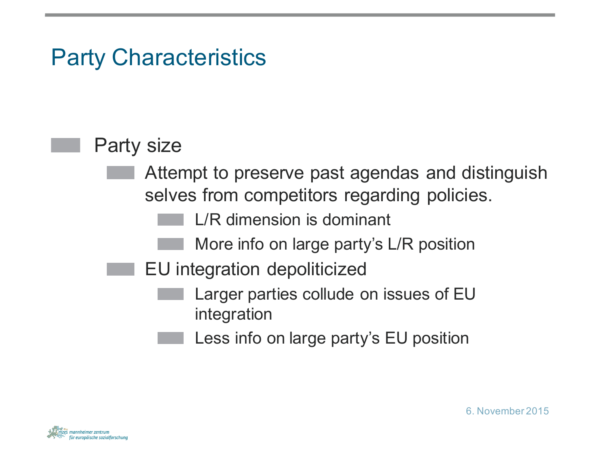## Party Characteristics

#### Party size

- Attempt to preserve past agendas and distinguish selves from competitors regarding policies.
	- L/R dimension is dominant
	- More info on large party's L/R position
- EU integration depoliticized
	- Larger parties collude on issues of EU integration
	- Less info on large party's EU position

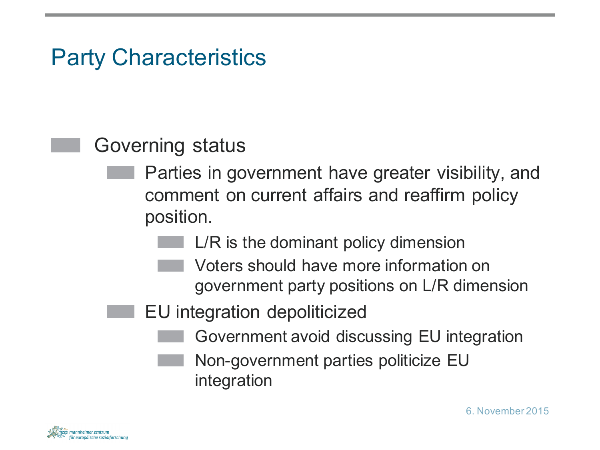## Party Characteristics

#### Governing status

- Parties in government have greater visibility, and comment on current affairs and reaffirm policy position.
	- L/R is the dominant policy dimension
		- Voters should have more information on government party positions on L/R dimension
	- EU integration depoliticized
		- Government avoid discussing EU integration
			- Non-government parties politicize EU integration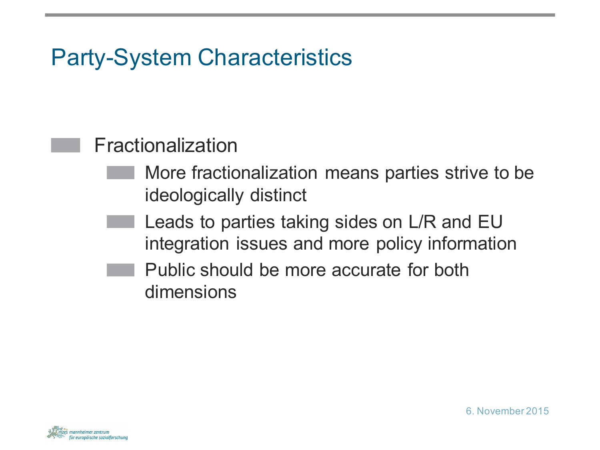## Party-System Characteristics

#### Fractionalization

- More fractionalization means parties strive to be ideologically distinct
- Leads to parties taking sides on L/R and EU integration issues and more policy information
- Public should be more accurate for both dimensions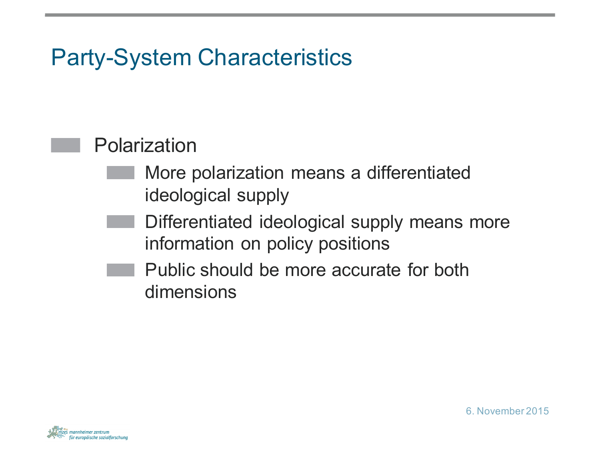## Party-System Characteristics

#### Polarization

- More polarization means a differentiated ideological supply
- Differentiated ideological supply means more information on policy positions
- Public should be more accurate for both dimensions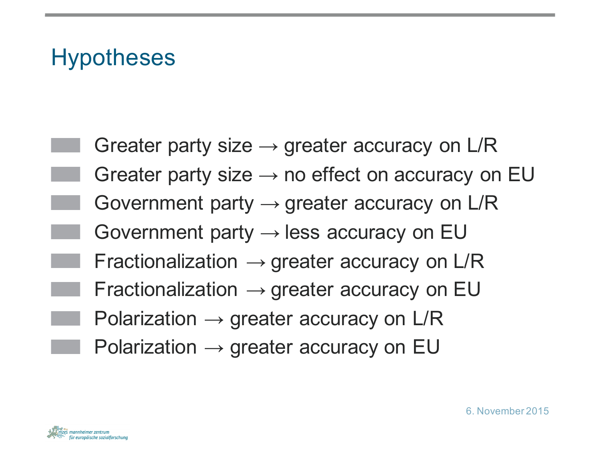## **Hypotheses**

Greater party size  $\rightarrow$  greater accuracy on L/R Greater party size  $\rightarrow$  no effect on accuracy on EU Government party  $\rightarrow$  greater accuracy on L/R Government party  $\rightarrow$  less accuracy on EU Fractionalization  $\rightarrow$  greater accuracy on L/R Fractionalization  $\rightarrow$  greater accuracy on EU Polarization  $\rightarrow$  greater accuracy on L/R Polarization  $\rightarrow$  greater accuracy on EU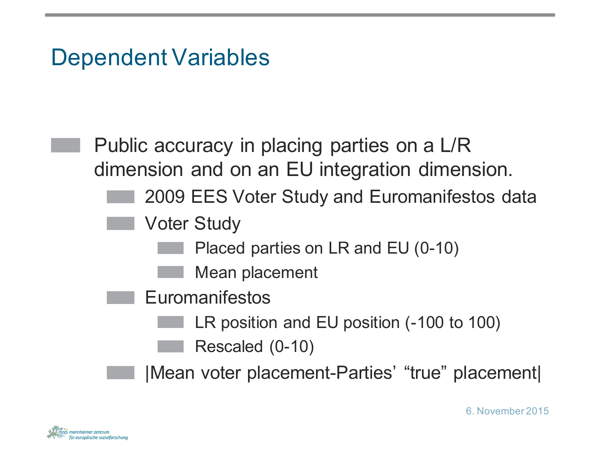## Dependent Variables

Public accuracy in placing parties on a L/R dimension and on an EU integration dimension.

- 2009 EES Voter Study and Euromanifestos data
- Voter Study
	- Placed parties on LR and EU (0-10)
	- Mean placement
	- Euromanifestos
		- LR position and EU position (-100 to 100)
			- Rescaled (0-10)

|Mean voter placement-Parties' "true" placement|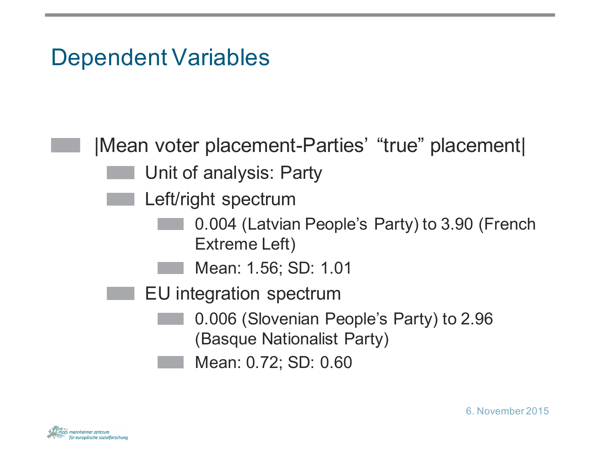## Dependent Variables

|Mean voter placement-Parties' "true" placement| Unit of analysis: Party Left/right spectrum 0.004 (Latvian People's Party) to 3.90 (French Extreme Left) Mean: 1.56; SD: 1.01 EU integration spectrum 0.006 (Slovenian People's Party) to 2.96 (Basque Nationalist Party) Mean: 0.72; SD: 0.60

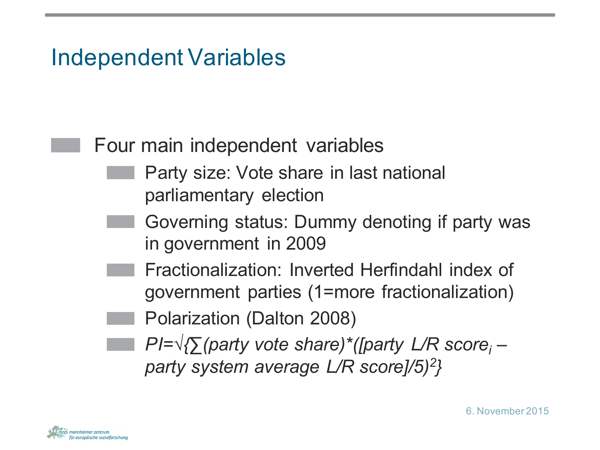## Independent Variables

#### Four main independent variables

- Party size: Vote share in last national parliamentary election
- Governing status: Dummy denoting if party was in government in 2009
	- Fractionalization: Inverted Herfindahl index of government parties (1=more fractionalization)
		- Polarization (Dalton 2008)
- *PI=√{∑(party vote share)\*([party L/R scorei – party system average L/R score]/5)2}*

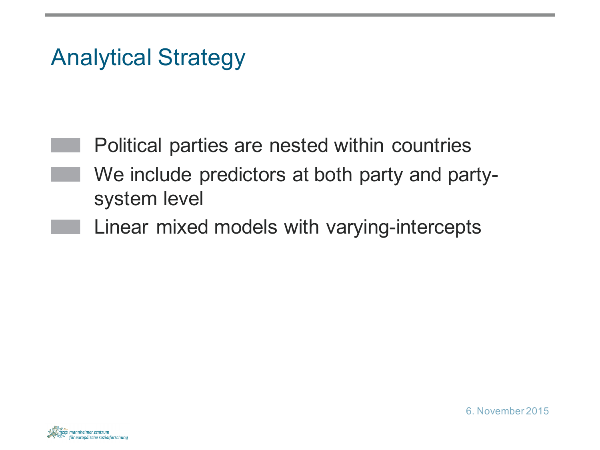## Analytical Strategy

Political parties are nested within countries We include predictors at both party and partysystem level

Linear mixed models with varying-intercepts

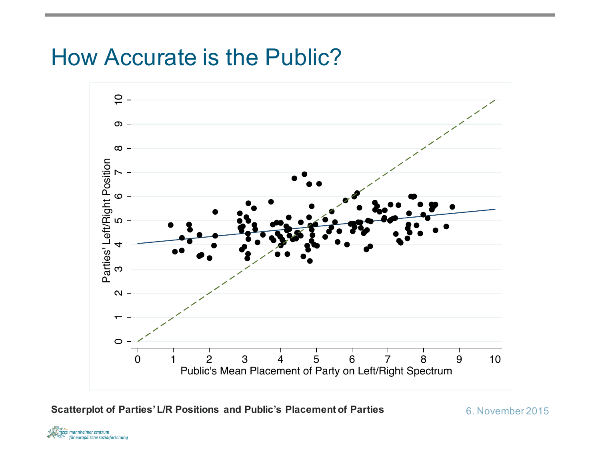## How Accurate is the Public?



**Scatterplot of Parties' L/R Positions and Public's Placement of Parties** 6. November 2015

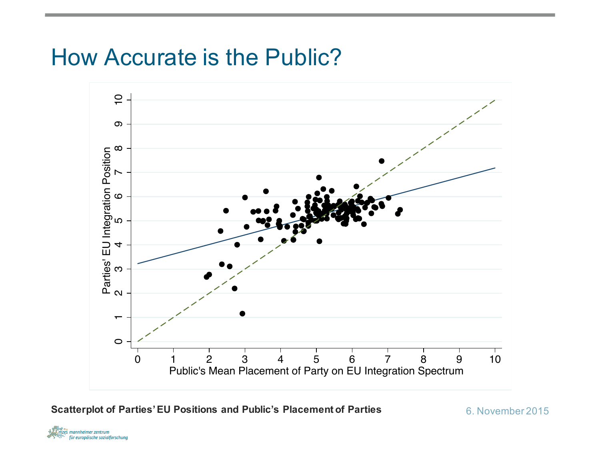## How Accurate is the Public?



**Scatterplot of Parties' EU Positions and Public's Placement of Parties** 6. November 2015

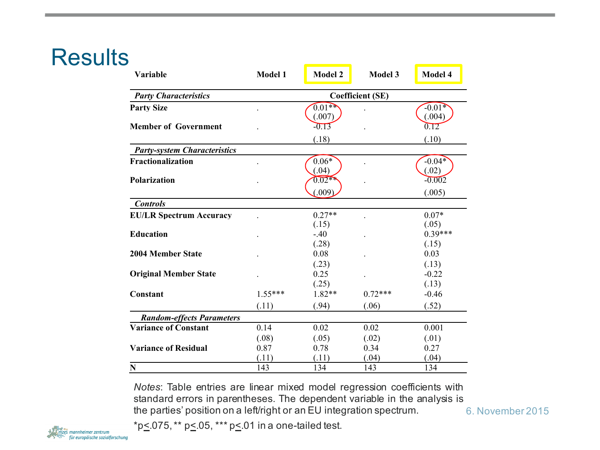## **Results**

| Variable                            | <b>Model 1</b>          | <b>Model 2</b>      | <b>Model 3</b> | <b>Model 4</b>     |  |  |  |  |
|-------------------------------------|-------------------------|---------------------|----------------|--------------------|--|--|--|--|
| <b>Party Characteristics</b>        | <b>Coefficient (SE)</b> |                     |                |                    |  |  |  |  |
| <b>Party Size</b>                   |                         | $0.01$ **<br>(.007) |                | $-0.01*$<br>(.004) |  |  |  |  |
| <b>Member of Government</b>         |                         | $-0.13$             |                | 0.12               |  |  |  |  |
| <b>Party-system Characteristics</b> |                         | (.18)               |                | (.10)              |  |  |  |  |
| Fractionalization                   |                         | $0.06*$<br>(.04)    |                | $-0.04*$<br>(.02)  |  |  |  |  |
| <b>Polarization</b>                 |                         | $0.02**$<br>(.009)  |                | $-0.002$           |  |  |  |  |
| <b>Controls</b>                     |                         |                     |                | (.005)             |  |  |  |  |
| <b>EU/LR Spectrum Accuracy</b>      |                         | $0.27**$<br>(.15)   |                | $0.07*$<br>(.05)   |  |  |  |  |
| <b>Education</b>                    |                         | $-.40$<br>(.28)     |                | $0.39***$<br>(.15) |  |  |  |  |
| <b>2004 Member State</b>            |                         | 0.08<br>(.23)       |                | 0.03<br>(.13)      |  |  |  |  |
| <b>Original Member State</b>        |                         | 0.25<br>(.25)       |                | $-0.22$<br>(.13)   |  |  |  |  |
| Constant                            | $1.55***$               | 1.82**              | $0.72***$      | $-0.46$            |  |  |  |  |
|                                     | (.11)                   | (.94)               | (.06)          | (.52)              |  |  |  |  |
| <b>Random-effects Parameters</b>    |                         |                     |                |                    |  |  |  |  |
| <b>Variance of Constant</b>         | 0.14                    | 0.02                | 0.02           | 0.001              |  |  |  |  |
|                                     | (.08)                   | (.05)               | (.02)          | (.01)              |  |  |  |  |
| <b>Variance of Residual</b>         | 0.87                    | 0.78                | 0.34           | 0.27               |  |  |  |  |
| N                                   | (.11)<br>143            | (.11)<br>134        | (.04)<br>143   | (.04)<br>134       |  |  |  |  |

*Notes*: Table entries are linear mixed model regression coefficients with standard errors in parentheses. The dependent variable in the analysis is the parties' position on a left/right or an EU integration spectrum.

\*p $\leq$ .075, \*\* p $\leq$ .05, \*\*\* p $\leq$ .01 in a one-tailed test.



<sup>6.</sup> November 2015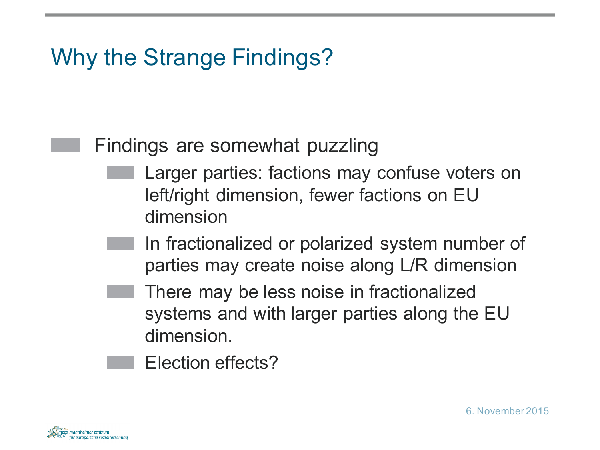## Why the Strange Findings?

#### Findings are somewhat puzzling

- Larger parties: factions may confuse voters on left/right dimension, fewer factions on EU dimension
- In fractionalized or polarized system number of parties may create noise along L/R dimension
- There may be less noise in fractionalized systems and with larger parties along the EU dimension.
- Election effects?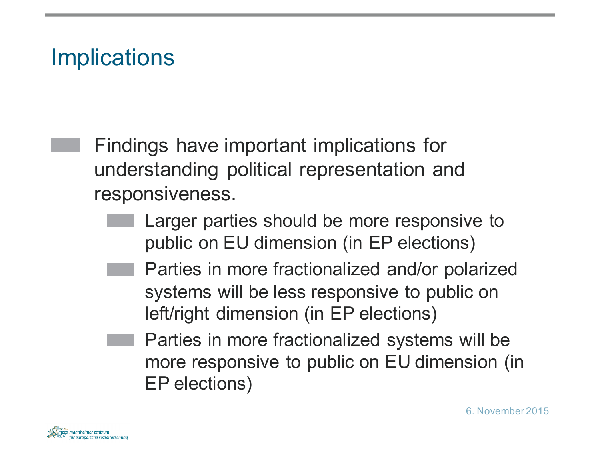## **Implications**

Findings have important implications for understanding political representation and responsiveness.

- Larger parties should be more responsive to public on EU dimension (in EP elections)
	- Parties in more fractionalized and/or polarized systems will be less responsive to public on left/right dimension (in EP elections)
	- Parties in more fractionalized systems will be more responsive to public on EU dimension (in EP elections)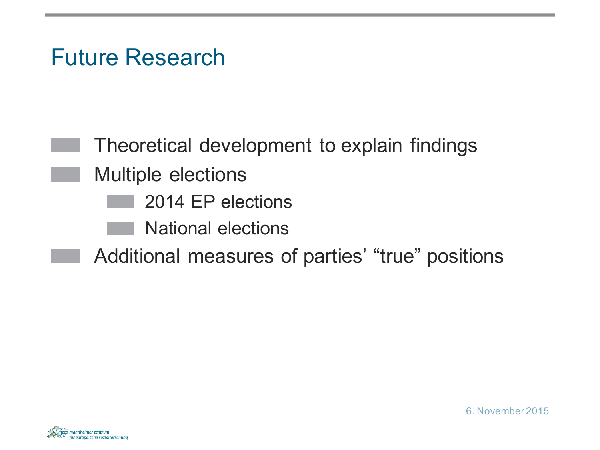## Future Research

Theoretical development to explain findings Multiple elections 2014 EP elections National elections Additional measures of parties' "true" positions

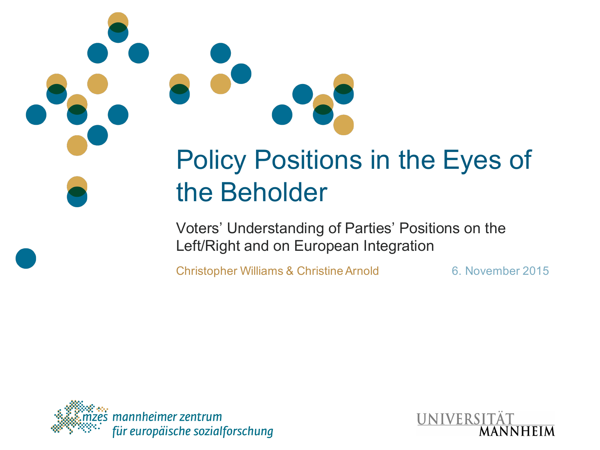# Policy Positions in the Eyes of the Beholder

Voters' Understanding of Parties' Positions on the Left/Right and on European Integration

Christopher Williams & Christine Arnold 6. November 2015



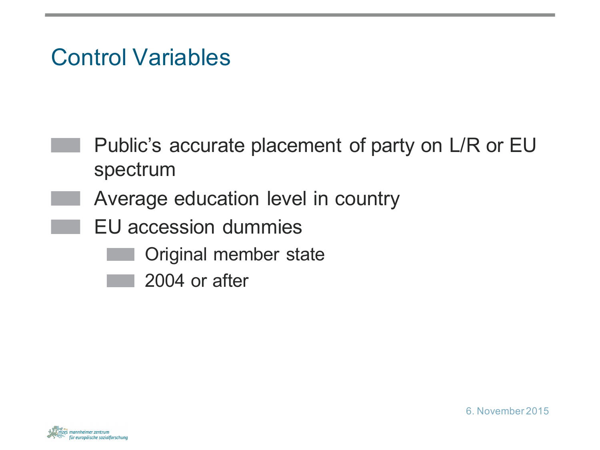## Control Variables

- Public's accurate placement of party on L/R or EU spectrum
- Average education level in country
	- EU accession dummies
		- Original member state
		- 2004 or after

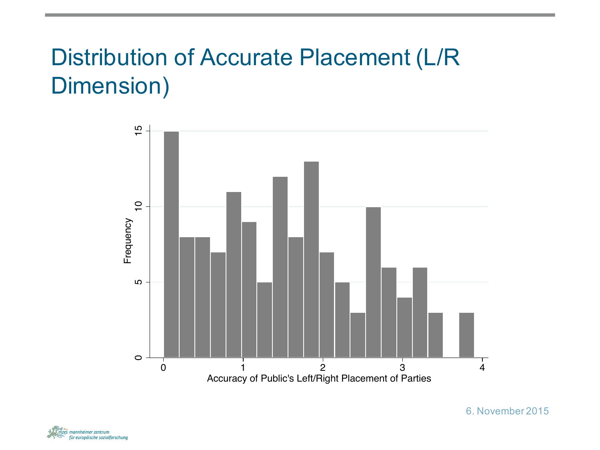## Distribution of Accurate Placement (L/R Dimension)



zes mannheimer zentrum für europäische sozialforschung 6. November 2015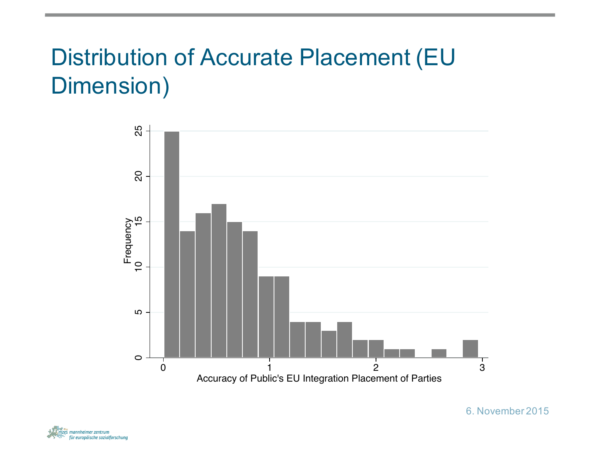## Distribution of Accurate Placement (EU Dimension)



zes mannheimer zentrum für europäische sozialforschung 6. November 2015